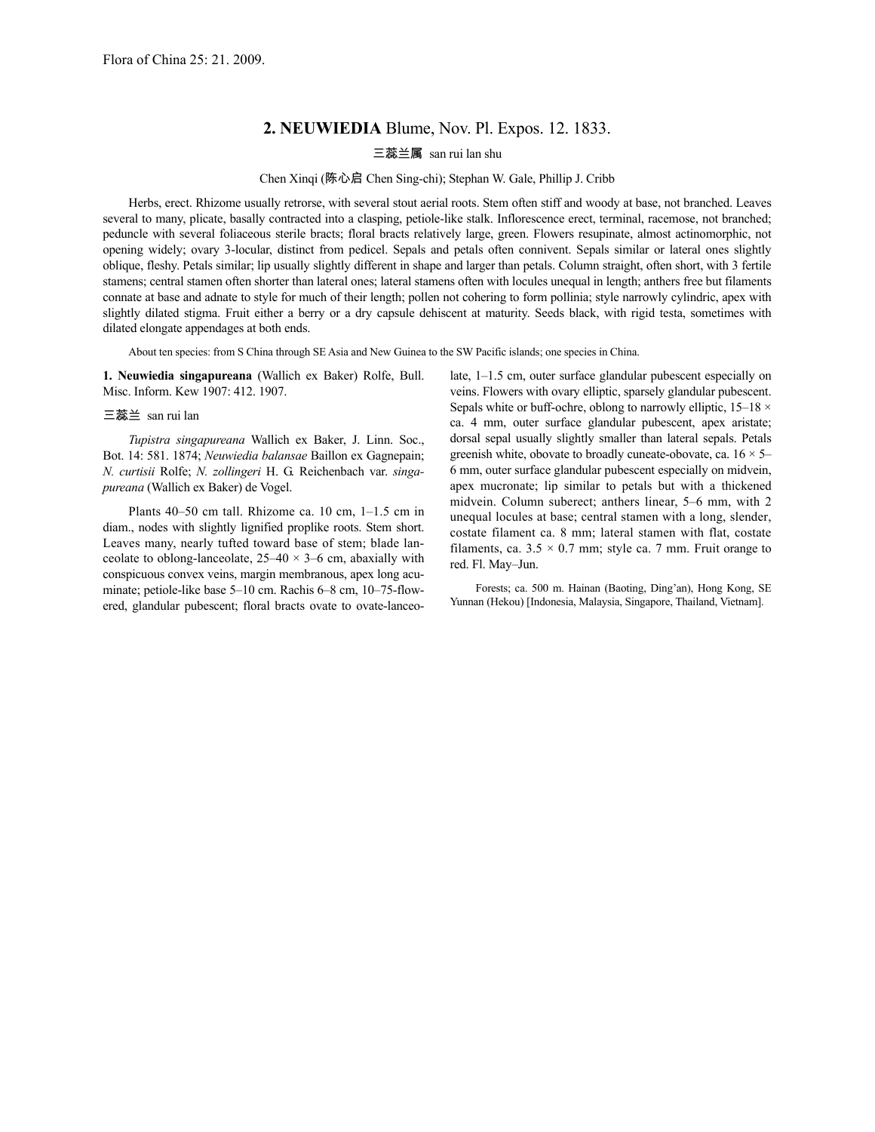## **2. NEUWIEDIA** Blume, Nov. Pl. Expos. 12. 1833.

三蕊兰属 san rui lan shu

## Chen Xinqi (陈心启 Chen Sing-chi); Stephan W. Gale, Phillip J. Cribb

Herbs, erect. Rhizome usually retrorse, with several stout aerial roots. Stem often stiff and woody at base, not branched. Leaves several to many, plicate, basally contracted into a clasping, petiole-like stalk. Inflorescence erect, terminal, racemose, not branched; peduncle with several foliaceous sterile bracts; floral bracts relatively large, green. Flowers resupinate, almost actinomorphic, not opening widely; ovary 3-locular, distinct from pedicel. Sepals and petals often connivent. Sepals similar or lateral ones slightly oblique, fleshy. Petals similar; lip usually slightly different in shape and larger than petals. Column straight, often short, with 3 fertile stamens; central stamen often shorter than lateral ones; lateral stamens often with locules unequal in length; anthers free but filaments connate at base and adnate to style for much of their length; pollen not cohering to form pollinia; style narrowly cylindric, apex with slightly dilated stigma. Fruit either a berry or a dry capsule dehiscent at maturity. Seeds black, with rigid testa, sometimes with dilated elongate appendages at both ends.

About ten species: from S China through SE Asia and New Guinea to the SW Pacific islands; one species in China.

**1. Neuwiedia singapureana** (Wallich ex Baker) Rolfe, Bull. Misc. Inform. Kew 1907: 412. 1907.

## 三蕊兰 san rui lan

*Tupistra singapureana* Wallich ex Baker, J. Linn. Soc., Bot. 14: 581. 1874; *Neuwiedia balansae* Baillon ex Gagnepain; *N. curtisii* Rolfe; *N. zollingeri* H. G. Reichenbach var. *singapureana* (Wallich ex Baker) de Vogel.

Plants 40–50 cm tall. Rhizome ca. 10 cm, 1–1.5 cm in diam., nodes with slightly lignified proplike roots. Stem short. Leaves many, nearly tufted toward base of stem; blade lanceolate to oblong-lanceolate,  $25-40 \times 3-6$  cm, abaxially with conspicuous convex veins, margin membranous, apex long acuminate; petiole-like base 5–10 cm. Rachis 6–8 cm, 10–75-flowered, glandular pubescent; floral bracts ovate to ovate-lanceolate, 1–1.5 cm, outer surface glandular pubescent especially on veins. Flowers with ovary elliptic, sparsely glandular pubescent. Sepals white or buff-ochre, oblong to narrowly elliptic,  $15-18 \times$ ca. 4 mm, outer surface glandular pubescent, apex aristate; dorsal sepal usually slightly smaller than lateral sepals. Petals greenish white, obovate to broadly cuneate-obovate, ca.  $16 \times 5-$ 6 mm, outer surface glandular pubescent especially on midvein, apex mucronate; lip similar to petals but with a thickened midvein. Column suberect; anthers linear, 5–6 mm, with 2 unequal locules at base; central stamen with a long, slender, costate filament ca. 8 mm; lateral stamen with flat, costate filaments, ca.  $3.5 \times 0.7$  mm; style ca. 7 mm. Fruit orange to red. Fl. May–Jun.

Forests; ca. 500 m. Hainan (Baoting, Ding'an), Hong Kong, SE Yunnan (Hekou) [Indonesia, Malaysia, Singapore, Thailand, Vietnam].